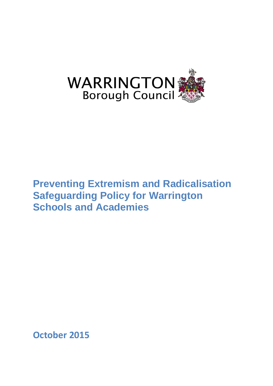

# **Preventing Extremism and Radicalisation Safeguarding Policy for Warrington Schools and Academies**

**October 2015**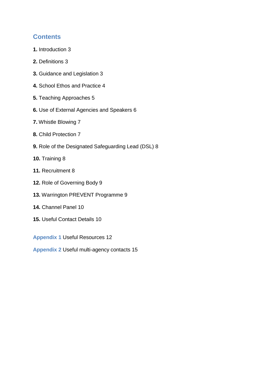## **Contents**

- **1.** Introduction 3
- **2.** Definitions 3
- **3.** Guidance and Legislation 3
- **4.** School Ethos and Practice 4
- **5.** Teaching Approaches 5
- **6.** Use of External Agencies and Speakers 6
- **7.** Whistle Blowing 7
- **8.** Child Protection 7
- **9.** Role of the Designated Safeguarding Lead (DSL) 8
- **10.** Training 8
- **11.** Recruitment 8
- **12.** Role of Governing Body 9
- **13.** Warrington PREVENT Programme 9
- **14.** Channel Panel 10
- **15.** Useful Contact Details 10
- **Appendix 1** Useful Resources 12
- **Appendix 2** Useful multi-agency contacts 15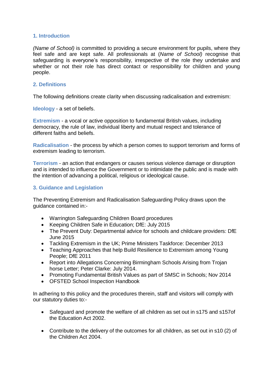#### **1. Introduction**

*(Name of School)* is committed to providing a secure environment for pupils, where they feel safe and are kept safe. All professionals at (*Name of School)* recognise that safeguarding is everyone's responsibility, irrespective of the role they undertake and whether or not their role has direct contact or responsibility for children and young people.

#### **2. Definitions**

The following definitions create clarity when discussing radicalisation and extremism:

**Ideology** - a set of beliefs.

**Extremism** - a vocal or active opposition to fundamental British values, including democracy, the rule of law, individual liberty and mutual respect and tolerance of different faiths and beliefs.

**Radicalisation** - the process by which a person comes to support terrorism and forms of extremism leading to terrorism.

**Terrorism** - an action that endangers or causes serious violence damage or disruption and is intended to influence the Government or to intimidate the public and is made with the intention of advancing a political, religious or ideological cause.

#### **3. Guidance and Legislation**

The Preventing Extremism and Radicalisation Safeguarding Policy draws upon the guidance contained in:-

- Warrington Safeguarding Children Board procedures
- Keeping Children Safe in Education; DfE: July 2015
- The Prevent Duty: Departmental advice for schools and childcare providers: DfE June 2015
- Tackling Extremism in the UK; Prime Ministers Taskforce: December 2013
- Teaching Approaches that help Build Resilience to Extremism among Young People; DfE 2011
- Report into Allegations Concerning Birmingham Schools Arising from Trojan horse Letter; Peter Clarke: July 2014.
- Promoting Fundamental British Values as part of SMSC in Schools; Nov 2014
- OFSTED School Inspection Handbook

In adhering to this policy and the procedures therein, staff and visitors will comply with our statutory duties to:-

- Safeguard and promote the welfare of all children as set out in s175 and s157of the Education Act 2002.
- Contribute to the delivery of the outcomes for all children, as set out in s10 (2) of the Children Act 2004.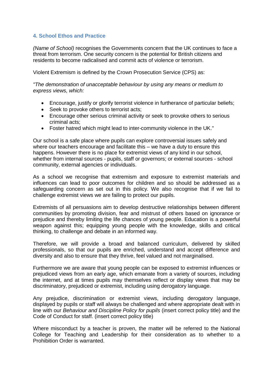#### **4. School Ethos and Practice**

*(Name of School)* recognises the Governments concern that the UK continues to face a threat from terrorism. One security concern is the potential for British citizens and residents to become radicalised and commit acts of violence or terrorism.

Violent Extremism is defined by the Crown Prosecution Service (CPS) as:

*"The demonstration of unacceptable behaviour by using any means or medium to express views, which:* 

- Encourage, justify or glorify terrorist violence in furtherance of particular beliefs;
- Seek to provoke others to terrorist acts:
- Encourage other serious criminal activity or seek to provoke others to serious criminal acts;
- Foster hatred which might lead to inter-community violence in the UK."

Our school is a safe place where pupils can explore controversial issues safely and where our teachers encourage and facilitate this – we have a duty to ensure this happens. However there is no place for extremist views of any kind in our school, whether from internal sources - pupils, staff or governors; or external sources - school community, external agencies or individuals.

As a school we recognise that extremism and exposure to extremist materials and influences can lead to poor outcomes for children and so should be addressed as a safeguarding concern as set out in this policy. We also recognise that if we fail to challenge extremist views we are failing to protect our pupils.

Extremists of all persuasions aim to develop destructive relationships between different communities by promoting division, fear and mistrust of others based on ignorance or prejudice and thereby limiting the life chances of young people. Education is a powerful weapon against this; equipping young people with the knowledge, skills and critical thinking, to challenge and debate in an informed way.

Therefore, we will provide a broad and balanced curriculum, delivered by skilled professionals, so that our pupils are enriched, understand and accept difference and diversity and also to ensure that they thrive, feel valued and not marginalised.

Furthermore we are aware that young people can be exposed to extremist influences or prejudiced views from an early age, which emanate from a variety of sources, including the internet, and at times pupils may themselves reflect or display views that may be discriminatory, prejudiced or extremist, including using derogatory language.

Any prejudice, discrimination or extremist views, including derogatory language, displayed by pupils or staff will always be challenged and where appropriate dealt with in line with our *Behaviour and Discipline Policy for pupils* (insert correct policy title) and the Code of Conduct for staff. (insert correct policy title)

Where misconduct by a teacher is proven, the matter will be referred to the National College for Teaching and Leadership for their consideration as to whether to a Prohibition Order is warranted.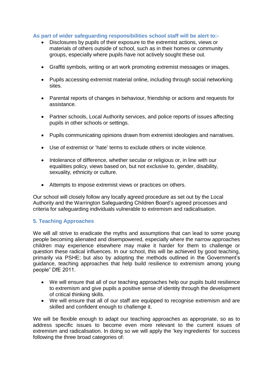#### **As part of wider safeguarding responsibilities school staff will be alert to:-**

- Disclosures by pupils of their exposure to the extremist actions, views or materials of others outside of school, such as in their homes or community groups, especially where pupils have not actively sought these out.
- Graffiti symbols, writing or art work promoting extremist messages or images.
- Pupils accessing extremist material online, including through social networking sites.
- Parental reports of changes in behaviour, friendship or actions and requests for assistance.
- Partner schools, Local Authority services, and police reports of issues affecting pupils in other schools or settings.
- Pupils communicating opinions drawn from extremist ideologies and narratives.
- Use of extremist or 'hate' terms to exclude others or incite violence.
- Intolerance of difference, whether secular or religious or, in line with our equalities policy, views based on, but not exclusive to, gender, disability, sexuality, ethnicity or culture.
- Attempts to impose extremist views or practices on others.

Our school will closely follow any locally agreed procedure as set out by the Local Authority and the Warrington Safeguarding Children Board's agreed processes and criteria for safeguarding individuals vulnerable to extremism and radicalisation.

#### **5. Teaching Approaches**

We will all strive to eradicate the myths and assumptions that can lead to some young people becoming alienated and disempowered, especially where the narrow approaches children may experience elsewhere may make it harder for them to challenge or question these radical influences. In our school, this will be achieved by good teaching, primarily via PSHE; but also by adopting the methods outlined in the Government's guidance, teaching approaches that help build resilience to extremism among young people" DfE 2011.

- We will ensure that all of our teaching approaches help our pupils build resilience to extremism and give pupils a positive sense of identity through the development of critical thinking skills.
- We will ensure that all of our staff are equipped to recognise extremism and are skilled and confident enough to challenge it.

We will be flexible enough to adapt our teaching approaches as appropriate, so as to address specific issues to become even more relevant to the current issues of extremism and radicalisation. In doing so we will apply the 'key ingredients' for success following the three broad categories of: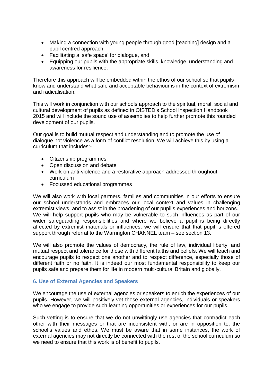- Making a connection with young people through good [teaching] design and a pupil centred approach.
- Facilitating a 'safe space' for dialogue, and
- Equipping our pupils with the appropriate skills, knowledge, understanding and awareness for resilience.

Therefore this approach will be embedded within the ethos of our school so that pupils know and understand what safe and acceptable behaviour is in the context of extremism and radicalisation.

This will work in conjunction with our schools approach to the spiritual, moral, social and cultural development of pupils as defined in OfSTED's School Inspection Handbook 2015 and will include the sound use of assemblies to help further promote this rounded development of our pupils.

Our goal is to build mutual respect and understanding and to promote the use of dialogue not violence as a form of conflict resolution. We will achieve this by using a curriculum that includes:-

- Citizenship programmes
- Open discussion and debate
- Work on anti-violence and a restorative approach addressed throughout curriculum
- Focussed educational programmes

We will also work with local partners, families and communities in our efforts to ensure our school understands and embraces our local context and values in challenging extremist views, and to assist in the broadening of our pupil's experiences and horizons. We will help support pupils who may be vulnerable to such influences as part of our wider safeguarding responsibilities and where we believe a pupil is being directly affected by extremist materials or influences, we will ensure that that pupil is offered support through referral to the Warrington CHANNEL team – see section 13.

We will also promote the values of democracy, the rule of law, individual liberty, and mutual respect and tolerance for those with different faiths and beliefs. We will teach and encourage pupils to respect one another and to respect difference, especially those of different faith or no faith. It is indeed our most fundamental responsibility to keep our pupils safe and prepare them for life in modern multi-cultural Britain and globally.

#### **6. Use of External Agencies and Speakers**

We encourage the use of external agencies or speakers to enrich the experiences of our pupils. However, we will positively vet those external agencies, individuals or speakers who we engage to provide such learning opportunities or experiences for our pupils.

Such vetting is to ensure that we do not unwittingly use agencies that contradict each other with their messages or that are inconsistent with, or are in opposition to, the school's values and ethos. We must be aware that in some instances, the work of external agencies may not directly be connected with the rest of the school curriculum so we need to ensure that this work is of benefit to pupils.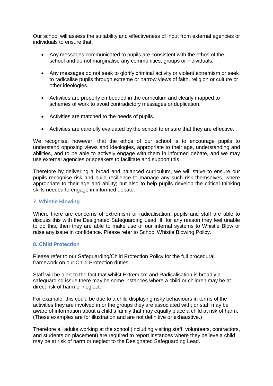Our school will assess the suitability and effectiveness of input from external agencies or individuals to ensure that:

- Any messages communicated to pupils are consistent with the ethos of the school and do not marginalise any communities, groups or individuals.
- Any messages do not seek to glorify criminal activity or violent extremism or seek to radicalise pupils through extreme or narrow views of faith, religion or culture or other ideologies.
- Activities are properly embedded in the curriculum and clearly mapped to schemes of work to avoid contradictory messages or duplication.
- Activities are matched to the needs of pupils.
- Activities are carefully evaluated by the school to ensure that they are effective.

We recognise, however, that the ethos of our school is to encourage pupils to understand opposing views and ideologies, appropriate to their age, understanding and abilities, and to be able to actively engage with them in informed debate, and we may use external agencies or speakers to facilitate and support this.

Therefore by delivering a broad and balanced curriculum, we will strive to ensure our pupils recognise risk and build resilience to manage any such risk themselves, where appropriate to their age and ability; but also to help pupils develop the critical thinking skills needed to engage in informed debate.

#### **7. Whistle Blowing**

Where there are concerns of extremism or radicalisation, pupils and staff are able to discuss this with the Designated Safeguarding Lead. If, for any reason they feel unable to do this, then they are able to make use of our internal systems to Whistle Blow or raise any issue in confidence. Please refer to School Whistle Blowing Policy.

#### **8. Child Protection**

Please refer to our Safeguarding/Child Protection Policy for the full procedural framework on our Child Protection duties.

Staff will be alert to the fact that whilst Extremism and Radicalisation is broadly a safeguarding issue there may be some instances where a child or children may be at direct risk of harm or neglect.

For example; this could be due to a child displaying risky behaviours in terms of the activities they are involved in or the groups they are associated with; or staff may be aware of information about a child's family that may equally place a child at risk of harm. (These examples are for illustration and are not definitive or exhaustive.)

Therefore all adults working at the school (including visiting staff, volunteers, contractors, and students on placement) are required to report instances where they believe a child may be at risk of harm or neglect to the Designated Safeguarding Lead.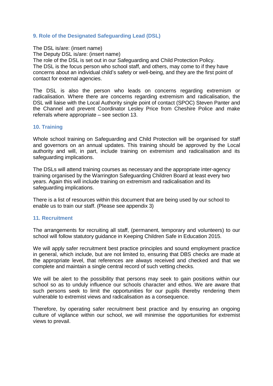#### **9. Role of the Designated Safeguarding Lead (DSL)**

The DSL is/are: (insert name) The Deputy DSL is/are: (insert name) The role of the DSL is set out in our Safeguarding and Child Protection Policy. The DSL is the focus person who school staff, and others, may come to if they have concerns about an individual child's safety or well-being, and they are the first point of contact for external agencies.

The DSL is also the person who leads on concerns regarding extremism or radicalisation. Where there are concerns regarding extremism and radicalisation, the DSL will liaise with the Local Authority single point of contact (SPOC) Steven Panter and the Channel and prevent Coordinator Lesley Price from Cheshire Police and make referrals where appropriate – see section 13.

#### **10. Training**

Whole school training on Safeguarding and Child Protection will be organised for staff and governors on an annual updates. This training should be approved by the Local authority and will, in part, include training on extremism and radicalisation and its safeguarding implications.

The DSLs will attend training courses as necessary and the appropriate inter-agency training organised by the Warrington Safeguarding Children Board at least every two years. Again this will include training on extremism and radicalisation and its safeguarding implications.

There is a list of resources within this document that are being used by our school to enable us to train our staff. (Please see appendix 3)

#### **11. Recruitment**

The arrangements for recruiting all staff, (permanent, temporary and volunteers) to our school will follow statutory guidance in Keeping Children Safe in Education 2015.

We will apply safer recruitment best practice principles and sound employment practice in general, which include, but are not limited to, ensuring that DBS checks are made at the appropriate level, that references are always received and checked and that we complete and maintain a single central record of such vetting checks.

We will be alert to the possibility that persons may seek to gain positions within our school so as to unduly influence our schools character and ethos. We are aware that such persons seek to limit the opportunities for our pupils thereby rendering them vulnerable to extremist views and radicalisation as a consequence.

Therefore, by operating safer recruitment best practice and by ensuring an ongoing culture of vigilance within our school, we will minimise the opportunities for extremist views to prevail.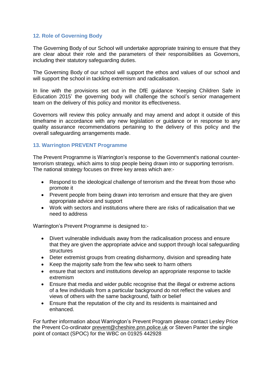#### **12. Role of Governing Body**

The Governing Body of our School will undertake appropriate training to ensure that they are clear about their role and the parameters of their responsibilities as Governors, including their statutory safeguarding duties.

The Governing Body of our school will support the ethos and values of our school and will support the school in tackling extremism and radicalisation.

In line with the provisions set out in the DfE guidance 'Keeping Children Safe in Education 2015' the governing body will challenge the school's senior management team on the delivery of this policy and monitor its effectiveness.

Governors will review this policy annually and may amend and adopt it outside of this timeframe in accordance with any new legislation or guidance or in response to any quality assurance recommendations pertaining to the delivery of this policy and the overall safeguarding arrangements made.

#### **13. Warrington PREVENT Programme**

The Prevent Programme is Warrington's response to the Government's national counterterrorism strategy, which aims to stop people being drawn into or supporting terrorism. The national strategy focuses on three key areas which are:-

- Respond to the ideological challenge of terrorism and the threat from those who promote it
- Prevent people from being drawn into terrorism and ensure that they are given appropriate advice and support
- Work with sectors and institutions where there are risks of radicalisation that we need to address

Warrington's Prevent Programme is designed to:-

- Divert vulnerable individuals away from the radicalisation process and ensure that they are given the appropriate advice and support through local safeguarding structures
- Deter extremist groups from creating disharmony, division and spreading hate
- Keep the majority safe from the few who seek to harm others
- ensure that sectors and institutions develop an appropriate response to tackle extremism
- Ensure that media and wider public recognise that the illegal or extreme actions of a few individuals from a particular background do not reflect the values and views of others with the same background, faith or belief
- Ensure that the reputation of the city and its residents is maintained and enhanced.

For further information about Warrington's Prevent Program please contact Lesley Price the Prevent Co-ordinator [prevent@cheshire.pnn.police.uk](mailto:prevent@cheshire.pnn.police.uk) or Steven Panter the single point of contact (SPOC) for the WBC on 01925 442928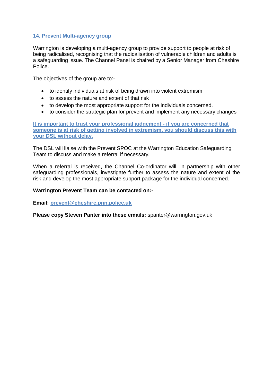#### **14. Prevent Multi-agency group**

Warrington is developing a multi-agency group to provide support to people at risk of being radicalised, recognising that the radicalisation of vulnerable children and adults is a safeguarding issue. The Channel Panel is chaired by a Senior Manager from Cheshire Police.

The objectives of the group are to:-

- to identify individuals at risk of being drawn into violent extremism
- to assess the nature and extent of that risk
- to develop the most appropriate support for the individuals concerned.
- to consider the strategic plan for prevent and implement any necessary changes

**It is important to trust your professional judgement - if you are concerned that someone is at risk of getting involved in extremism, you should discuss this with your DSL without delay.** 

The DSL will liaise with the Prevent SPOC at the Warrington Education Safeguarding Team to discuss and make a referral if necessary.

When a referral is received, the Channel Co-ordinator will, in partnership with other safeguarding professionals, investigate further to assess the nature and extent of the risk and develop the most appropriate support package for the individual concerned.

#### **Warrington Prevent Team can be contacted on:-**

**Email: [prevent@cheshire.pnn.police.uk](mailto:prevent@cheshire.pnn.police.uk)**

**Please copy Steven Panter into these emails:** spanter@warrington.gov.uk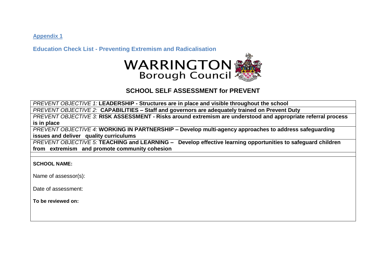**Appendix 1** 

**Education Check List - Preventing Extremism and Radicalisation** 



### **SCHOOL SELF ASSESSMENT for PREVENT**

*PREVENT OBJECTIVE 1:* **LEADERSHIP - Structures are in place and visible throughout the school**

*PREVENT OBJECTIVE 2:* **CAPABILITIES – Staff and governors are adequately trained on Prevent Duty**

*PREVENT OBJECTIVE 3:* **RISK ASSESSMENT - Risks around extremism are understood and appropriate referral process is in place**

*PREVENT OBJECTIVE 4:* **WORKING IN PARTNERSHIP – Develop multi-agency approaches to address safeguarding issues and deliver quality curriculums**

*PREVENT OBJECTIVE 5:* **TEACHING and LEARNING – Develop effective learning opportunities to safeguard children from extremism and promote community cohesion**

**SCHOOL NAME:** 

Name of assessor(s):

Date of assessment:

**To be reviewed on:**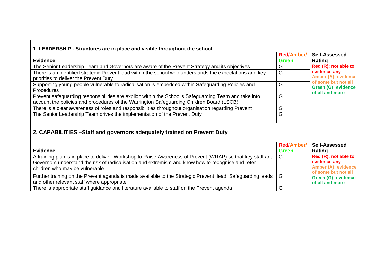| 1. LEADERSHIP - Structures are in place and visible throughout the school                                                                                                                                                                         |                                   |                                                                                           |
|---------------------------------------------------------------------------------------------------------------------------------------------------------------------------------------------------------------------------------------------------|-----------------------------------|-------------------------------------------------------------------------------------------|
| <b>Evidence</b>                                                                                                                                                                                                                                   | <b>Red/Amber/</b><br><b>Green</b> | Self-Assessed<br>Rating                                                                   |
| The Senior Leadership Team and Governors are aware of the Prevent Strategy and its objectives                                                                                                                                                     | G                                 | Red (R): not able to                                                                      |
| There is an identified strategic Prevent lead within the school who understands the expectations and key<br>priorities to deliver the Prevent Duty                                                                                                | G                                 | evidence any<br><b>Amber (A): evidence</b>                                                |
| Supporting young people vulnerable to radicalisation is embedded within Safeguarding Policies and<br><b>Procedures</b>                                                                                                                            | G                                 | of some but not all<br>Green (G): evidence<br>of all and more                             |
| Prevent safeguarding responsibilities are explicit within the School's Safeguarding Team and take into<br>account the policies and procedures of the Warrington Safeguarding Children Board (LSCB)                                                | G                                 |                                                                                           |
| There is a clear awareness of roles and responsibilities throughout organisation regarding Prevent                                                                                                                                                | G                                 |                                                                                           |
| The Senior Leadership Team drives the implementation of the Prevent Duty                                                                                                                                                                          | G                                 |                                                                                           |
|                                                                                                                                                                                                                                                   |                                   |                                                                                           |
| 2. CAPABILITIES - Staff and governors adequately trained on Prevent Duty                                                                                                                                                                          |                                   |                                                                                           |
|                                                                                                                                                                                                                                                   | <b>Red/Amber/</b>                 | Self-Assessed                                                                             |
| <b>Evidence</b>                                                                                                                                                                                                                                   | <b>Green</b>                      | Rating                                                                                    |
| A training plan is in place to deliver Workshop to Raise Awareness of Prevent (WRAP) so that key staff and<br>Governors understand the risk of radicalisation and extremism and know how to recognise and refer<br>children who may be vulnerable | G                                 | Red (R): not able to<br>evidence any<br><b>Amber (A): evidence</b><br>of some but not all |
| Further training on the Prevent agenda is made available to the Strategic Prevent lead, Safeguarding leads<br>and other relevant staff where appropriate                                                                                          | G                                 | <b>Green (G): evidence</b><br>of all and more                                             |
| There is appropriate staff guidance and literature available to staff on the Prevent agenda                                                                                                                                                       | G                                 |                                                                                           |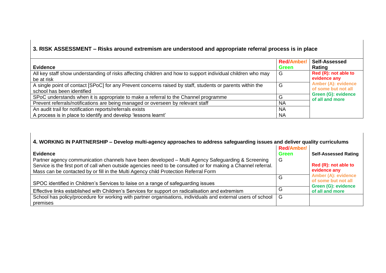## **3. RISK ASSESSMENT – Risks around extremism are understood and appropriate referral process is in place**

|                                                                                                             | <b>Red/Amber/</b> | Self-Assessed                                 |
|-------------------------------------------------------------------------------------------------------------|-------------------|-----------------------------------------------|
| <b>Evidence</b>                                                                                             | <b>Green</b>      | Rating                                        |
| All key staff show understanding of risks affecting children and how to support individual children who may | G                 | Red (R): not able to                          |
| be at risk                                                                                                  |                   | evidence any                                  |
| A single point of contact [SPoC] for any Prevent concerns raised by staff, students or parents within the   | G                 | <b>Amber (A): evidence</b>                    |
| school has been identified                                                                                  |                   | of some but not all                           |
| SPoC understands when it is appropriate to make a referral to the Channel programme                         | G                 | <b>Green (G): evidence</b><br>of all and more |
| Prevent referrals/notifications are being managed or overseen by relevant staff                             | <b>NA</b>         |                                               |
| An audit trail for notification reports/referrals exists                                                    | <b>NA</b>         |                                               |
| A process is in place to identify and develop 'lessons learnt'                                              | <b>NA</b>         |                                               |

| 4. WORKING IN PARTNERSHIP - Develop multi-agency approaches to address safeguarding issues and deliver quality curriculums                                                                                          |                   |                                                                                             |  |
|---------------------------------------------------------------------------------------------------------------------------------------------------------------------------------------------------------------------|-------------------|---------------------------------------------------------------------------------------------|--|
|                                                                                                                                                                                                                     | <b>Red/Amber/</b> |                                                                                             |  |
| <b>Evidence</b>                                                                                                                                                                                                     | <b>Green</b>      | <b>Self-Assessed Rating</b>                                                                 |  |
| Partner agency communication channels have been developed - Multi Agency Safeguarding & Screening<br>Service is the first port of call when outside agencies need to be consulted or for making a Channel referral. | G                 | Red (R): not able to                                                                        |  |
| Mass can be contacted by or fill in the Multi Agency child Protection Referral Form                                                                                                                                 |                   | evidence any                                                                                |  |
| SPOC identified in Children's Services to liaise on a range of safeguarding issues                                                                                                                                  | G                 | <b>Amber (A): evidence</b><br>of some but not all<br>Green (G): evidence<br>of all and more |  |
| Effective links established with Children's Services for support on radicalisation and extremism                                                                                                                    | G                 |                                                                                             |  |
| School has policy/procedure for working with partner organisations, individuals and external users of school<br>premises                                                                                            | G                 |                                                                                             |  |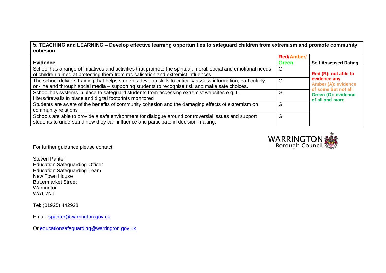**5. TEACHING and LEARNING – Develop effective learning opportunities to safeguard children from extremism and promote community cohesion**

|                                                                                                                | <b>Red/Amber/</b> |                                                   |
|----------------------------------------------------------------------------------------------------------------|-------------------|---------------------------------------------------|
| <b>Evidence</b>                                                                                                | <b>Green</b>      | <b>Self Assessed Rating</b>                       |
| School has a range of initiatives and activities that promote the spiritual, moral, social and emotional needs | G                 |                                                   |
| of children aimed at protecting them from radicalisation and extremist influences                              |                   | Red (R): not able to                              |
| The school delivers training that helps students develop skills to critically assess information, particularly | G                 | evidence any                                      |
| on-line and through social media - supporting students to recognise risk and make safe choices.                |                   | <b>Amber (A): evidence</b><br>of some but not all |
| School has systems in place to safeguard students from accessing extremist websites e.g. IT                    | G                 | <b>Green (G): evidence</b>                        |
| filters/firewalls in place and digital footprints monitored                                                    |                   | of all and more                                   |
| Students are aware of the benefits of community cohesion and the damaging effects of extremism on              | G                 |                                                   |
| community relations                                                                                            |                   |                                                   |
| Schools are able to provide a safe environment for dialogue around controversial issues and support            | G                 |                                                   |
| students to understand how they can influence and participate in decision-making.                              |                   |                                                   |



For further guidance please contact:

Steven Panter Education Safeguarding Officer Education Safeguarding Team New Town House Buttermarket Street Warrington WA1 2NJ

Tel: (01925) 442928

Email: [spanter@warrington.gov.uk](mailto:spanter@warrington.gov.uk)

Or [educationsafeguarding@warrington.gov.uk](mailto:educationsafeguarding@warrington.gov.uk)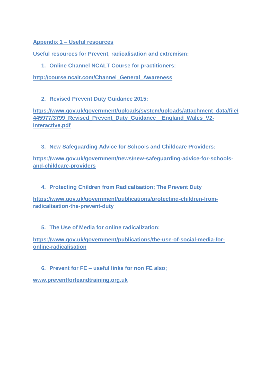**Appendix 1 – Useful resources**

**Useful resources for Prevent, radicalisation and extremism:**

**1. Online Channel NCALT Course for practitioners:**

**[http://course.ncalt.com/Channel\\_General\\_Awareness](http://course.ncalt.com/Channel_General_Awareness)**

**2. Revised Prevent Duty Guidance 2015:**

**[https://www.gov.uk/government/uploads/system/uploads/attachment\\_data/file/](https://www.gov.uk/government/uploads/system/uploads/attachment_data/file/445977/3799_Revised_Prevent_Duty_Guidance__England_Wales_V2-Interactive.pdf) [445977/3799\\_Revised\\_Prevent\\_Duty\\_Guidance\\_\\_England\\_Wales\\_V2-](https://www.gov.uk/government/uploads/system/uploads/attachment_data/file/445977/3799_Revised_Prevent_Duty_Guidance__England_Wales_V2-Interactive.pdf) [Interactive.pdf](https://www.gov.uk/government/uploads/system/uploads/attachment_data/file/445977/3799_Revised_Prevent_Duty_Guidance__England_Wales_V2-Interactive.pdf)**

**3. New Safeguarding Advice for Schools and Childcare Providers:**

**[https://www.gov.uk/government/news/new-safeguarding-advice-for-schools](https://www.gov.uk/government/news/new-safeguarding-advice-for-schools-and-childcare-providers)[and-childcare-providers](https://www.gov.uk/government/news/new-safeguarding-advice-for-schools-and-childcare-providers)**

**4. Protecting Children from Radicalisation; The Prevent Duty**

**[https://www.gov.uk/government/publications/protecting-children-from](https://www.gov.uk/government/publications/protecting-children-from-radicalisation-the-prevent-duty)[radicalisation-the-prevent-duty](https://www.gov.uk/government/publications/protecting-children-from-radicalisation-the-prevent-duty)**

**5. The Use of Media for online radicalization:**

**[https://www.gov.uk/government/publications/the-use-of-social-media-for](https://www.gov.uk/government/publications/the-use-of-social-media-for-online-radicalisation)[online-radicalisation](https://www.gov.uk/government/publications/the-use-of-social-media-for-online-radicalisation)**

**6. Prevent for FE – useful links for non FE also;**

**[www.preventforfeandtraining.org.uk](http://www.preventforfeandtraining.org.uk/)**